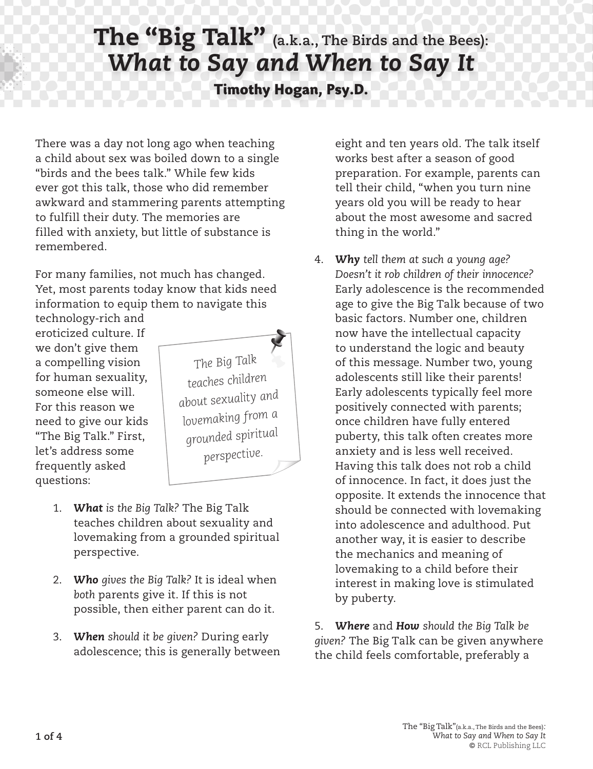## The "Big Talk" **(a.k.a., The Birds and the Bees):** *What to Say and When to Say It* **Timothy Hogan, Psy.D.**

There was a day not long ago when teaching a child about sex was boiled down to a single "birds and the bees talk." While few kids ever got this talk, those who did remember awkward and stammering parents attempting to fulfill their duty. The memories are filled with anxiety, but little of substance is remembered.

For many families, not much has changed. Yet, most parents today know that kids need information to equip them to navigate this

technology-rich and eroticized culture. If we don't give them a compelling vision for human sexuality, someone else will. For this reason we need to give our kids "The Big Talk." First, let's address some frequently asked questions:



- 1. *What is the Big Talk?* The Big Talk teaches children about sexuality and lovemaking from a grounded spiritual perspective.
- 2. *Who gives the Big Talk?* It is ideal when *both* parents give it. If this is not possible, then either parent can do it.
- 3. *When should it be given?* During early adolescence; this is generally between

eight and ten years old. The talk itself works best after a season of good preparation. For example, parents can tell their child, "when you turn nine years old you will be ready to hear about the most awesome and sacred thing in the world."

4. *Why tell them at such a young age? Doesn't it rob children of their innocence?* Early adolescence is the recommended age to give the Big Talk because of two basic factors. Number one, children now have the intellectual capacity to understand the logic and beauty of this message. Number two, young adolescents still like their parents! Early adolescents typically feel more positively connected with parents; once children have fully entered puberty, this talk often creates more anxiety and is less well received. Having this talk does not rob a child of innocence. In fact, it does just the opposite. It extends the innocence that should be connected with lovemaking into adolescence and adulthood. Put another way, it is easier to describe the mechanics and meaning of lovemaking to a child before their interest in making love is stimulated by puberty.

5. *Where* and *How should the Big Talk be given?* The Big Talk can be given anywhere the child feels comfortable, preferably a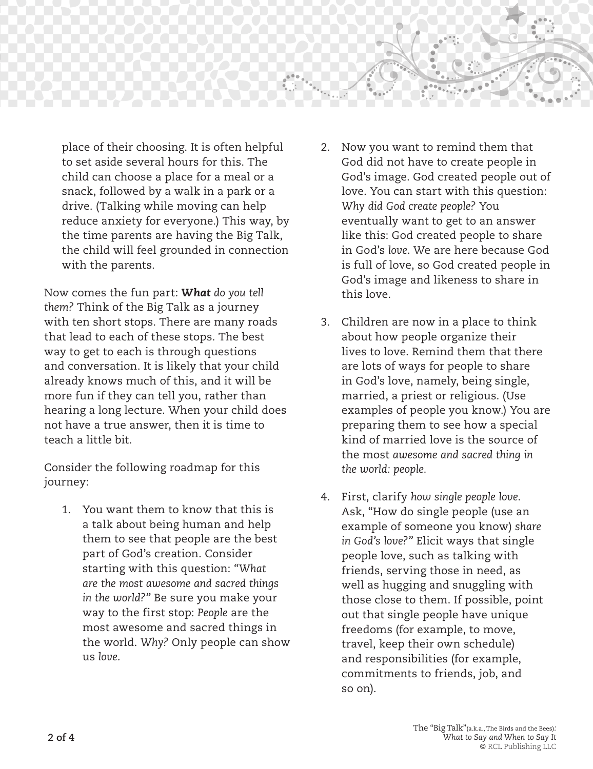

place of their choosing. It is often helpful to set aside several hours for this. The child can choose a place for a meal or a snack, followed by a walk in a park or a drive. (Talking while moving can help reduce anxiety for everyone.) This way, by the time parents are having the Big Talk, the child will feel grounded in connection with the parents.

Now comes the fun part: *What do you tell them?* Think of the Big Talk as a journey with ten short stops. There are many roads that lead to each of these stops. The best way to get to each is through questions and conversation. It is likely that your child already knows much of this, and it will be more fun if they can tell you, rather than hearing a long lecture. When your child does not have a true answer, then it is time to teach a little bit.

Consider the following roadmap for this journey:

1. You want them to know that this is a talk about being human and help them to see that people are the best part of God's creation. Consider starting with this question: *"What are the most awesome and sacred things in the world?"* Be sure you make your way to the first stop: *People* are the most awesome and sacred things in the world. *Why?* Only people can show us *love*.

- 2. Now you want to remind them that God did not have to create people in God's image. God created people out of love. You can start with this question: *Why did God create people?* You eventually want to get to an answer like this: God created people to share in God's *love*. We are here because God is full of love, so God created people in God's image and likeness to share in this love.
- 3. Children are now in a place to think about how people organize their lives to love. Remind them that there are lots of ways for people to share in God's love, namely, being single, married, a priest or religious. (Use examples of people you know.) You are preparing them to see how a special kind of married love is the source of the most *awesome and sacred thing in the world: people.*
- 4. First, clarify *how single people love*. Ask, "How do single people (use an example of someone you know) *share in God's love?"* Elicit ways that single people love, such as talking with friends, serving those in need, as well as hugging and snuggling with those close to them. If possible, point out that single people have unique freedoms (for example, to move, travel, keep their own schedule) and responsibilities (for example, commitments to friends, job, and so on).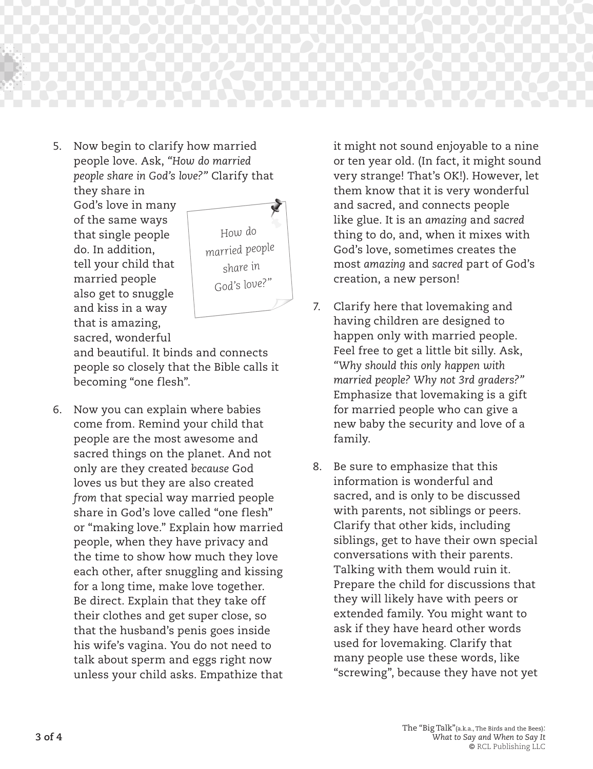

5. Now begin to clarify how married people love. Ask, *"How do married people share in God's love?"* Clarify that they share in

God's love in many of the same ways that single people do. In addition, tell your child that married people also get to snuggle and kiss in a way that is amazing, sacred, wonderful



and beautiful. It binds and connects people so closely that the Bible calls it becoming "one flesh".

6. Now you can explain where babies come from. Remind your child that people are the most awesome and sacred things on the planet. And not only are they created *because* God loves us but they are also created *from* that special way married people share in God's love called "one flesh" or "making love." Explain how married people, when they have privacy and the time to show how much they love each other, after snuggling and kissing for a long time, make love together. Be direct. Explain that they take off their clothes and get super close, so that the husband's penis goes inside his wife's vagina. You do not need to talk about sperm and eggs right now unless your child asks. Empathize that

it might not sound enjoyable to a nine or ten year old. (In fact, it might sound very strange! That's OK!). However, let them know that it is very wonderful and sacred, and connects people like glue. It is an *amazing* and *sacred*  thing to do, and, when it mixes with God's love, sometimes creates the most *amazing* and *sacred* part of God's creation, a new person!

- 7. Clarify here that lovemaking and having children are designed to happen only with married people. Feel free to get a little bit silly. Ask, *"Why should this only happen with married people? Why not 3rd graders?"*  Emphasize that lovemaking is a gift for married people who can give a new baby the security and love of a family.
- 8. Be sure to emphasize that this information is wonderful and sacred, and is only to be discussed with parents, not siblings or peers. Clarify that other kids, including siblings, get to have their own special conversations with their parents. Talking with them would ruin it. Prepare the child for discussions that they will likely have with peers or extended family. You might want to ask if they have heard other words used for lovemaking. Clarify that many people use these words, like "screwing", because they have not yet